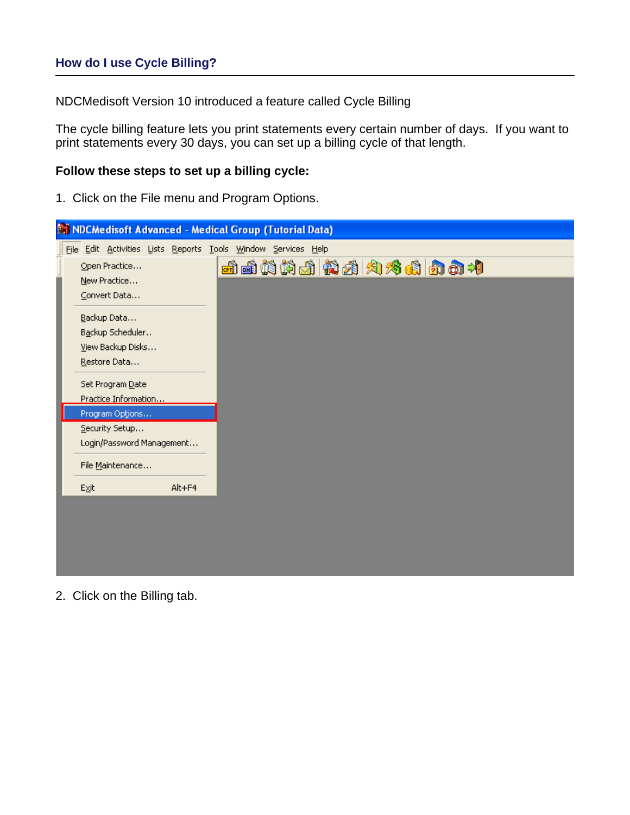# **How do I use Cycle Billing?**

NDCMedisoft Version 10 introduced a feature called Cycle Billing

The cycle billing feature lets you print statements every certain number of days. If you want to print statements every 30 days, you can set up a billing cycle of that length.

### **Follow these steps to set up a billing cycle:**

1. Click on the File menu and Program Options.

| M NDCMedisoft Advanced - Medical Group (Tutorial Data)        |              |
|---------------------------------------------------------------|--------------|
| File Edit Activities Lists Reports Tools Window Services Help |              |
| Open Practice<br>New Practice                                 | 西西帕帕南南南南方南南村 |
| Convert Data<br>Backup Data                                   |              |
| Backup Scheduler<br>View Backup Disks<br>Restore Data         |              |
| Set Program Date<br>Practice Information                      |              |
| Program Options                                               |              |
| Security Setup<br>Login/Password Management                   |              |
| File Maintenance                                              |              |
| Alt+F4<br>$E \times it$                                       |              |
|                                                               |              |

2. Click on the Billing tab.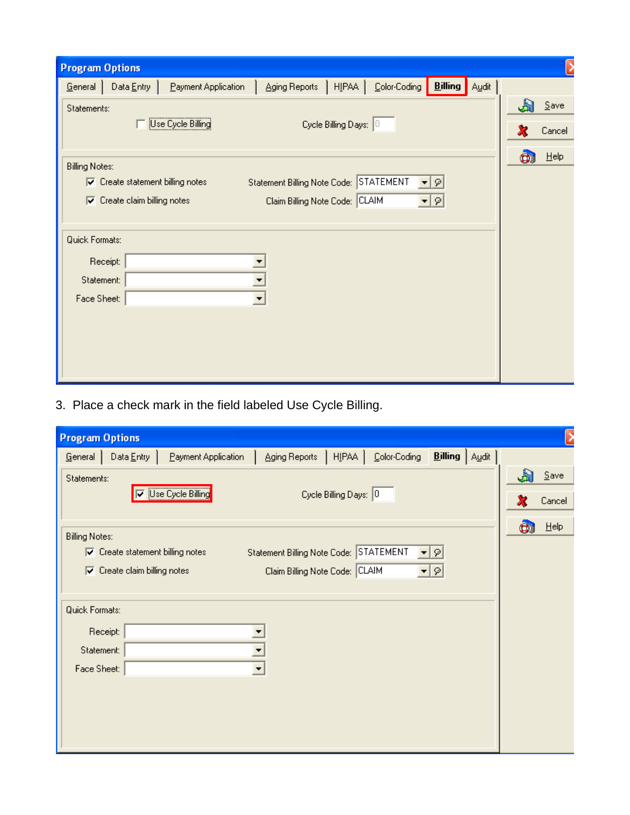| <b>Program Options</b> |                                         |                     |                                |                       |              |                         |             |         |
|------------------------|-----------------------------------------|---------------------|--------------------------------|-----------------------|--------------|-------------------------|-------------|---------|
| General                | Data $Entry$                            | Payment Application | Aging Reports                  | HIPAA                 | Color-Coding | <b>Billing</b><br>Audit |             |         |
| Statements:            |                                         |                     |                                |                       |              |                         | $\bigoplus$ | Save    |
|                        |                                         | Use Cycle Billing   |                                | Cycle Billing Days: 0 |              |                         |             | Cancel  |
| <b>Billing Notes:</b>  |                                         |                     |                                |                       |              |                         | CI          | $He$ lp |
|                        | $\nabla$ Create statement billing notes |                     | Statement Billing Note Code:   |                       | STATEMENT    | $\blacktriangledown$    |             |         |
| ⊽                      | Create claim billing notes              |                     | Claim Billing Note Code: CLAIM |                       |              | ∽∣ହା                    |             |         |
|                        |                                         |                     |                                |                       |              |                         |             |         |
| Quick Formats:         |                                         |                     |                                |                       |              |                         |             |         |
|                        | Receipt:                                |                     |                                |                       |              |                         |             |         |
| Statement:             |                                         |                     |                                |                       |              |                         |             |         |
| Face Sheet:            |                                         |                     | $\blacktriangledown$           |                       |              |                         |             |         |
|                        |                                         |                     |                                |                       |              |                         |             |         |
|                        |                                         |                     |                                |                       |              |                         |             |         |
|                        |                                         |                     |                                |                       |              |                         |             |         |
|                        |                                         |                     |                                |                       |              |                         |             |         |

3. Place a check mark in the field labeled Use Cycle Billing.

| <b>Program Options</b> |                                     |                            |                                        |                       |              |                        |   |         |
|------------------------|-------------------------------------|----------------------------|----------------------------------------|-----------------------|--------------|------------------------|---|---------|
| General                | Data $Entry$                        | Payment Application        | Aging Reports                          | HIPAA                 | Color-Coding | <b>Billing</b>   Audit |   |         |
| Statements:            |                                     |                            |                                        |                       |              |                        | Æ | $S$ ave |
|                        |                                     | <b>V</b> Use Cycle Billing |                                        | Cycle Billing Days: 0 |              |                        |   | Cancel  |
| <b>Billing Notes:</b>  |                                     |                            |                                        |                       |              |                        | ū | He      |
| ⊽                      | Create statement billing notes      |                            | Statement Billing Note Code: STATEMENT |                       | ▾╎           | $\varphi$              |   |         |
|                        | $\nabla$ Create claim billing notes |                            | Claim Billing Note Code: CLAIM         |                       |              | ▼   ମ                  |   |         |
|                        |                                     |                            |                                        |                       |              |                        |   |         |
| Quick Formats:         |                                     |                            |                                        |                       |              |                        |   |         |
|                        | Receipt:                            |                            |                                        |                       |              |                        |   |         |
| Statement:             |                                     |                            |                                        |                       |              |                        |   |         |
| Face Sheet:            |                                     |                            | $\overline{\phantom{a}}$               |                       |              |                        |   |         |
|                        |                                     |                            |                                        |                       |              |                        |   |         |
|                        |                                     |                            |                                        |                       |              |                        |   |         |
|                        |                                     |                            |                                        |                       |              |                        |   |         |
|                        |                                     |                            |                                        |                       |              |                        |   |         |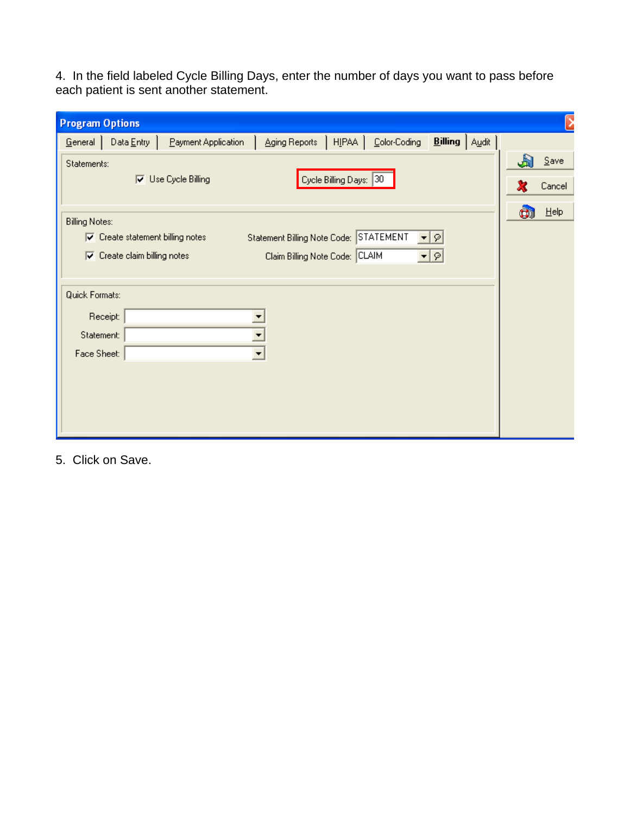4. In the field labeled Cycle Billing Days, enter the number of days you want to pass before each patient is sent another statement.

| <b>Program Options</b>                      |                                                                                |                            |                                                                          |                         |                                         |    |                   |
|---------------------------------------------|--------------------------------------------------------------------------------|----------------------------|--------------------------------------------------------------------------|-------------------------|-----------------------------------------|----|-------------------|
| General                                     | Data $Entry$                                                                   | Payment Application        | Aging Reports                                                            | HIPAA  <br>Color-Coding | <b>Billing</b>   Audit                  |    |                   |
| Statements:                                 |                                                                                | $\nabla$ Use Cycle Billing |                                                                          | Cycle Billing Days: 30  |                                         | J) | $S$ ave<br>Cancel |
| <b>Billing Notes:</b>                       | $\nabla$ Create statement billing notes<br>$\nabla$ Create claim billing notes |                            | Statement Billing Note Code: STATEMENT<br>Claim Billing Note Code: CLAIM |                         | $\varphi$<br>▾╎<br>$\blacktriangledown$ | ū  | $He$ lp           |
| Quick Formats:<br>Statement:<br>Face Sheet: | Receipt:                                                                       |                            | ▼<br>$\blacktriangledown$                                                |                         |                                         |    |                   |

5. Click on Save.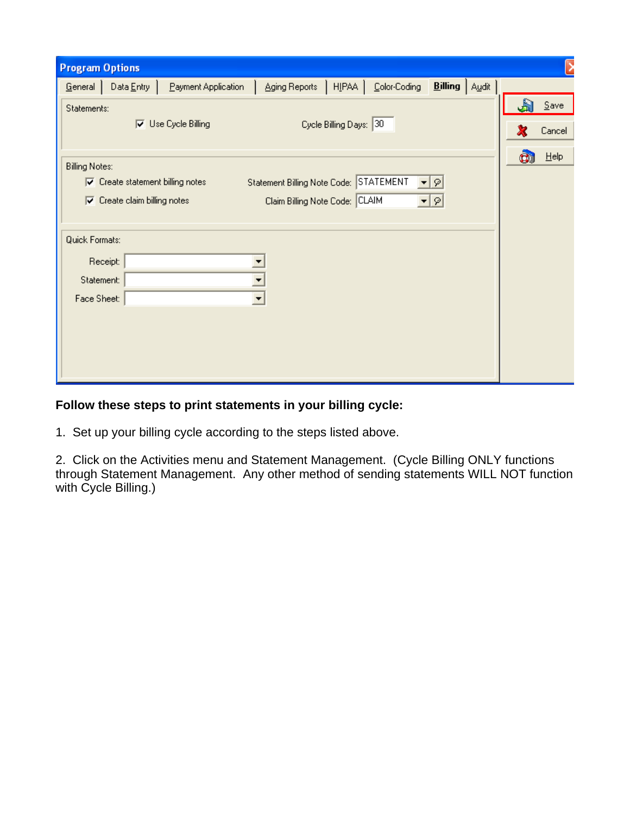| <b>Program Options</b> |                                         |                     |                                        |                        |              |                        |    |         |
|------------------------|-----------------------------------------|---------------------|----------------------------------------|------------------------|--------------|------------------------|----|---------|
| $G$ eneral             | Data $Entry$                            | Payment Application | Aging Reports                          | HIPAA                  | Color-Coding | <b>Billing</b>   Audit |    |         |
| Statements:            |                                         |                     |                                        |                        |              |                        |    | $S$ ave |
|                        | ⊽                                       | Use Cycle Billing   |                                        | Cycle Billing Days: 30 |              |                        |    | Cancel  |
|                        |                                         |                     |                                        |                        |              |                        |    |         |
| <b>Billing Notes:</b>  |                                         |                     |                                        |                        |              |                        | oi | $He$ lp |
|                        | $\nabla$ Create statement billing notes |                     | Statement Billing Note Code: STATEMENT |                        |              | ≁∣ହ                    |    |         |
| ⊽                      | Create claim billing notes              |                     | Claim Billing Note Code: CLAIM         |                        |              | ∽∣ହା                   |    |         |
|                        |                                         |                     |                                        |                        |              |                        |    |         |
| Quick Formats:         |                                         |                     |                                        |                        |              |                        |    |         |
|                        | Receipt:                                |                     |                                        |                        |              |                        |    |         |
| Statement:             |                                         |                     |                                        |                        |              |                        |    |         |
| Face Sheet:            |                                         |                     | $\blacktriangledown$                   |                        |              |                        |    |         |
|                        |                                         |                     |                                        |                        |              |                        |    |         |
|                        |                                         |                     |                                        |                        |              |                        |    |         |
|                        |                                         |                     |                                        |                        |              |                        |    |         |
|                        |                                         |                     |                                        |                        |              |                        |    |         |

# **Follow these steps to print statements in your billing cycle:**

1. Set up your billing cycle according to the steps listed above.

2. Click on the Activities menu and Statement Management. (Cycle Billing ONLY functions through Statement Management. Any other method of sending statements WILL NOT function with Cycle Billing.)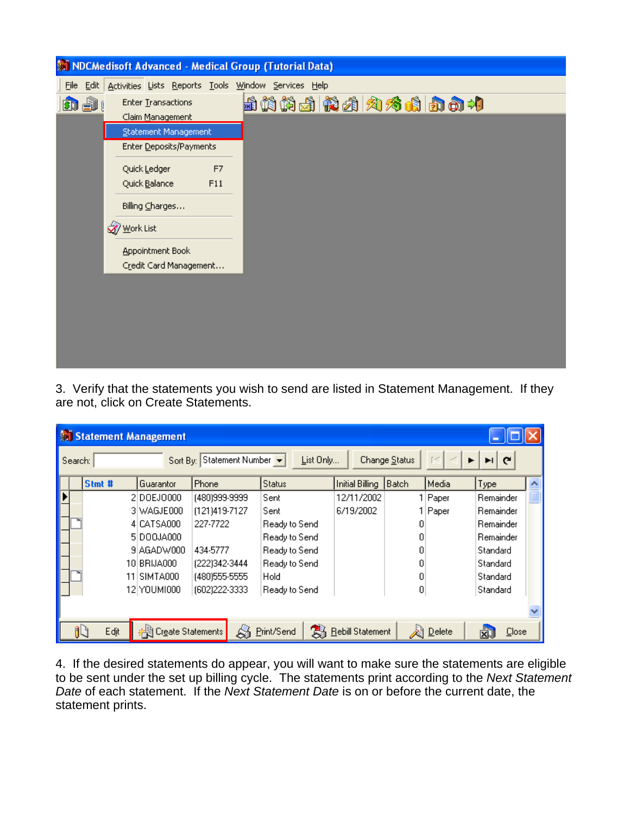

3. Verify that the statements you wish to send are listed in Statement Management. If they are not, click on Create Statements.

|                                      | <b>Statement Management</b> |        |             |  |                     |               |               |    |                  |       |               |             |  |
|--------------------------------------|-----------------------------|--------|-------------|--|---------------------|---------------|---------------|----|------------------|-------|---------------|-------------|--|
| Sort By: Statement Number<br>Search: |                             |        |             |  |                     |               | List Only     |    | Change Status    | ГM    | G             |             |  |
|                                      |                             | Stmt # | Guarantor   |  | Phone               |               | <b>Status</b> |    | Initial Billing  | Batch | Media         | Type        |  |
|                                      |                             |        | 2 DOEJ0000  |  | (480)999-9999       |               | Sent          |    | 12/11/2002       |       | 1 Paper       | Remainder   |  |
|                                      |                             |        | 3 WAGJE000  |  | (121)419-7127       |               | Sent          |    | 6/19/2002        |       | Paper         | Remainder   |  |
|                                      |                             |        | 4 CATSA000  |  | 227-7722            | Ready to Send |               |    |                  | ۵     |               | Remainder   |  |
|                                      |                             |        | 5 DOOJA000  |  |                     |               | Ready to Send |    |                  | n     |               | Remainder   |  |
|                                      |                             |        | 9 AGADW000  |  | 434-5777            | Ready to Send |               |    |                  |       |               | Standard    |  |
|                                      |                             |        | 10 BRIJA000 |  | (222)342-3444       |               | Ready to Send |    |                  |       |               | Standard    |  |
|                                      |                             | 11     | SIMTA000    |  | (480) 555-5555      |               | Hold          |    |                  |       |               | Standard    |  |
|                                      |                             |        | 12 YOUM1000 |  | (602)222-3333       |               | Ready to Send |    |                  | 0     |               | Standard    |  |
|                                      |                             |        |             |  |                     |               |               |    |                  |       |               |             |  |
|                                      |                             | Edjt   |             |  | # Create Statements | S             | Print/Send    | 3. | Rebill Statement |       | <b>Delete</b> | Close<br>XJ |  |

4. If the desired statements do appear, you will want to make sure the statements are eligible to be sent under the set up billing cycle. The statements print according to the *Next Statement Date* of each statement. If the *Next Statement Date* is on or before the current date, the statement prints.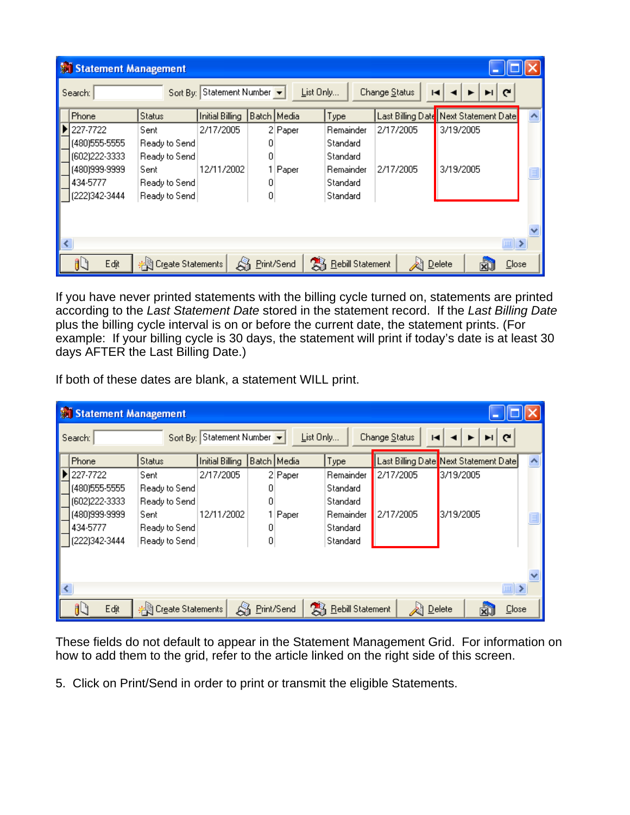|   | Statement Management |                     |                           |             |                       |               |                                       |  |  |  |  |  |
|---|----------------------|---------------------|---------------------------|-------------|-----------------------|---------------|---------------------------------------|--|--|--|--|--|
|   | Search:              |                     | Sort By: Statement Number |             | List Only             | Change Status | $\mathbf{C}$<br>н                     |  |  |  |  |  |
|   | Phone                | <b>Status</b>       | <b>Initial Billing</b>    | Batch Media | Type                  |               | Last Billing Date Next Statement Date |  |  |  |  |  |
|   | 227-7722             | Sent                | 2/17/2005                 | 2 Paper     | Remainder             | 2/17/2005     | 3/19/2005                             |  |  |  |  |  |
|   | (480) 555-5555       | Ready to Send       |                           | 0           | <b>Standard</b>       |               |                                       |  |  |  |  |  |
|   | (602) 222-3333       | Ready to Send       |                           | 0           | <b>Standard</b>       |               |                                       |  |  |  |  |  |
|   | (480)999-9999        | Sent                | 12/11/2002                | Paper       | Remainder             | 2/17/2005     | 3/19/2005                             |  |  |  |  |  |
|   | 434-5777             | Ready to Send       |                           | 0           | Standard              |               |                                       |  |  |  |  |  |
|   | (222)342-3444        | Ready to Send       |                           | 0           | Standard              |               |                                       |  |  |  |  |  |
|   |                      |                     |                           |             |                       |               |                                       |  |  |  |  |  |
| ∢ |                      |                     |                           |             |                       |               | $\mathbb{R}$                          |  |  |  |  |  |
|   | Edjt                 | # Create Statements |                           | Print/Send  | 髙<br>Rebill Statement |               | Delete<br>Close                       |  |  |  |  |  |

If you have never printed statements with the billing cycle turned on, statements are printed according to the *Last Statement Date* stored in the statement record. If the *Last Billing Date* plus the billing cycle interval is on or before the current date, the statement prints. (For example: If your billing cycle is 30 days, the statement will print if today's date is at least 30 days AFTER the Last Billing Date.)

If both of these dates are blank, a statement WILL print.

| Statement Management |                     |                        |             |           |                  |                    |                                       |  |  |  |
|----------------------|---------------------|------------------------|-------------|-----------|------------------|--------------------|---------------------------------------|--|--|--|
| Search:              | Sort By:            | Statement Number       |             | List Only |                  | Change Status<br>н | $\mathbf{C}$                          |  |  |  |
| Phone                | <b>Status</b>       | <b>Initial Billing</b> | Batch Media |           | Type             |                    | Last Billing Date Next Statement Date |  |  |  |
| 227-7722             | Sent                | 2/17/2005              |             | 2 Paper   | Remainder        | 2/17/2005          | 3/19/2005                             |  |  |  |
| (480) 555-5555       | Ready to Send       |                        |             |           | Standard         |                    |                                       |  |  |  |
| (602) 222-3333       | Ready to Send       |                        | 0           |           | Standard         |                    |                                       |  |  |  |
| (480)999-9999        | Sent                | 12/11/2002             |             | Paper     | Remainder        | 2/17/2005          | 3/19/2005                             |  |  |  |
| 434-5777             | Ready to Send       |                        | 0           |           | Standard.        |                    |                                       |  |  |  |
| (222)342-3444        | Ready to Send       |                        | 0           |           | Standard         |                    |                                       |  |  |  |
|                      |                     |                        |             |           |                  |                    |                                       |  |  |  |
|                      |                     |                        |             |           |                  |                    | $\ $ = $\ $ >                         |  |  |  |
| Edjt                 | # Create Statements |                        | Print/Send  | 霱         | Rebill Statement |                    | Delete<br>Close                       |  |  |  |

These fields do not default to appear in the Statement Management Grid. For information on how to add them to the grid, refer to the article linked on the right side of this screen.

5. Click on Print/Send in order to print or transmit the eligible Statements.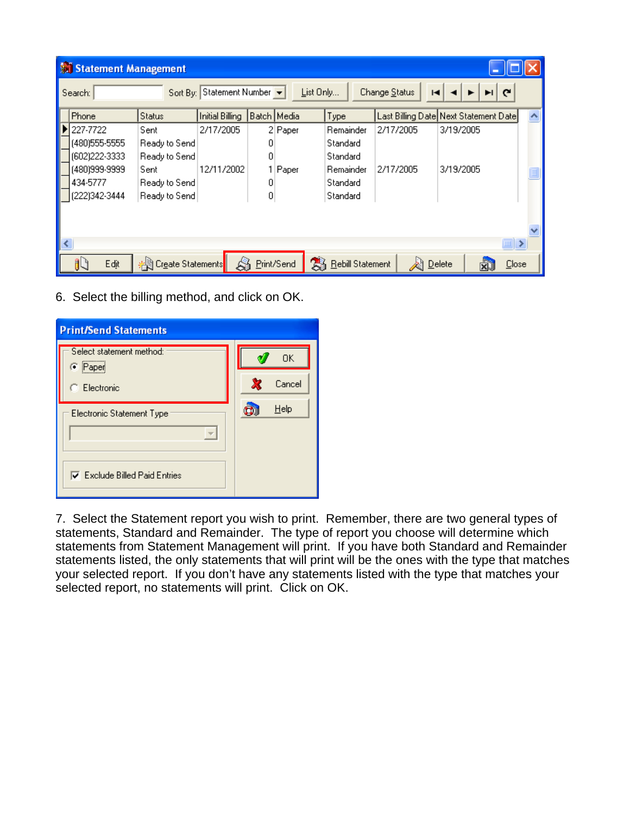| Statement Management |                     |                           |             |                       |                    |                                       |  |
|----------------------|---------------------|---------------------------|-------------|-----------------------|--------------------|---------------------------------------|--|
| Search:              |                     | Sort By: Statement Number |             | List Only             | Change Status<br>н | $\mathbf{C}$                          |  |
| Phone                | <b>Status</b>       | Initial Billing           | Batch Media | Type                  |                    | Last Billing Date Next Statement Date |  |
| 227-7722             | Sent                | 2/17/2005                 | 2 Paper     | Remainder             | 2/17/2005          | 3/19/2005                             |  |
| (480) 555-5555       | Ready to Send       |                           | ۵           | Standard              |                    |                                       |  |
| (602)222-3333        | Ready to Send       |                           | 0           | Standard              |                    |                                       |  |
| (480)999-9999        | Sent                | 12/11/2002                | 1   Paper   | Remainder             | 2/17/2005          | 3/19/2005                             |  |
| 434-5777             | Ready to Send       |                           | 0           | Standard              |                    |                                       |  |
| (222)342-3444        | Ready to Send       |                           | 0           | Standard              |                    |                                       |  |
|                      |                     |                           |             |                       |                    |                                       |  |
|                      |                     |                           |             |                       |                    |                                       |  |
|                      |                     |                           |             |                       |                    | $\ $                                  |  |
| Edjt                 | # Create Statements |                           | Print/Send  | 髙<br>Rebill Statement |                    | Close<br>$D$ elete                    |  |

6. Select the billing method, and click on OK.

| <b>Print/Send Statements</b>         |        |
|--------------------------------------|--------|
| Select statement method:<br>C Paper  | OΚ     |
| Electronic                           | Cancel |
| Electronic Statement Type            | Help   |
|                                      |        |
| <b>V</b> Exclude Billed Paid Entries |        |

7. Select the Statement report you wish to print. Remember, there are two general types of statements, Standard and Remainder. The type of report you choose will determine which statements from Statement Management will print. If you have both Standard and Remainder statements listed, the only statements that will print will be the ones with the type that matches your selected report. If you don't have any statements listed with the type that matches your selected report, no statements will print. Click on OK.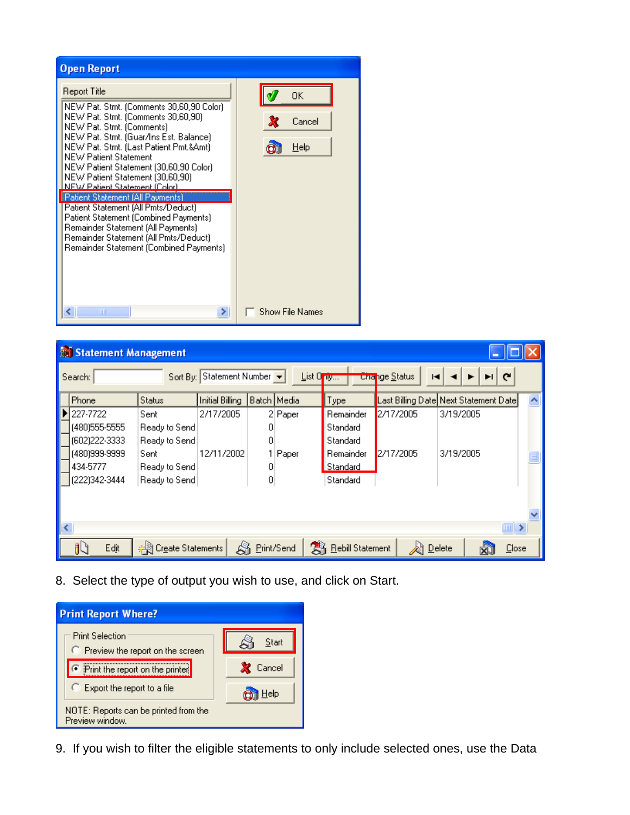| <b>Open Report</b>                                                                                                                                                                                                                                                                                                                                                                                                                                                                                                                                                                                                |                              |
|-------------------------------------------------------------------------------------------------------------------------------------------------------------------------------------------------------------------------------------------------------------------------------------------------------------------------------------------------------------------------------------------------------------------------------------------------------------------------------------------------------------------------------------------------------------------------------------------------------------------|------------------------------|
| Report Title<br>NEW Pat. Stmt. (Comments 30,60,90 Color).<br>NEW Pat. Stmt. (Comments 30,60,90)<br>NEW Pat. Stmt. (Comments)<br>NEW Pat. Stmt. (Guar/Ins Est. Balance)<br>NEW Pat. Stmt. (Last Patient Pmt.&Amt)<br><b>NEW Patient Statement</b><br>NEW Patient Statement (30,60,90 Color)<br>NEW Patient Statement (30,60,90)<br>NEW Patient Statement (Color)<br>   Patient Statement (All Payments)<br>Patient Statement (All Pmts/Deduct)<br>Patient Statement (Combined Payments)<br>Remainder Statement (All Payments)<br>Remainder Statement (All Pmts/Deduct).<br>Remainder Statement (Combined Payments) | OΚ<br>Cancel<br>×<br>$He$ lp |
| ШI<br>≻                                                                                                                                                                                                                                                                                                                                                                                                                                                                                                                                                                                                           | <b>Show File Names</b>       |

|   | Statement Management |                     |                  |             |           |                  |                           |                                       |  |
|---|----------------------|---------------------|------------------|-------------|-----------|------------------|---------------------------|---------------------------------------|--|
|   | Search:              | Sort By:            | Statement Number |             | List Only |                  | <b>Change Status</b><br>ю | $\mathbf{C}$                          |  |
|   | Phone                | <b>Status</b>       | Initial Billing  | Batch Media |           | Type             |                           | Last Billing Date Next Statement Date |  |
|   | 227-7722             | Sent                | 2/17/2005        |             | 2 Paper   | Remainder        | 2/17/2005                 | 3/19/2005                             |  |
|   | (480) 555-5555       | Ready to Send       |                  | n           |           | Standard         |                           |                                       |  |
|   | (602) 222-3333       | Ready to Send       |                  | 0           |           | Standard         |                           |                                       |  |
|   | (480)999-9999        | Sent                | 12/11/2002       |             | Paper     | Remainder        | 2/17/2005                 | 3/19/2005                             |  |
|   | 434-5777             | Ready to Send       |                  | 0           |           | Standard         |                           |                                       |  |
|   | (222)342-3444        | Ready to Send       |                  | 0           |           | Standard         |                           |                                       |  |
| ≺ |                      |                     |                  |             |           |                  |                           | $\  \cdot \ $                         |  |
|   |                      |                     |                  |             |           |                  |                           |                                       |  |
|   | Edjt                 | # Create Statements |                  | Print/Send  | 31        | Rebill Statement |                           | Close<br>Delete                       |  |

8. Select the type of output you wish to use, and click on Start.



9. If you wish to filter the eligible statements to only include selected ones, use the Data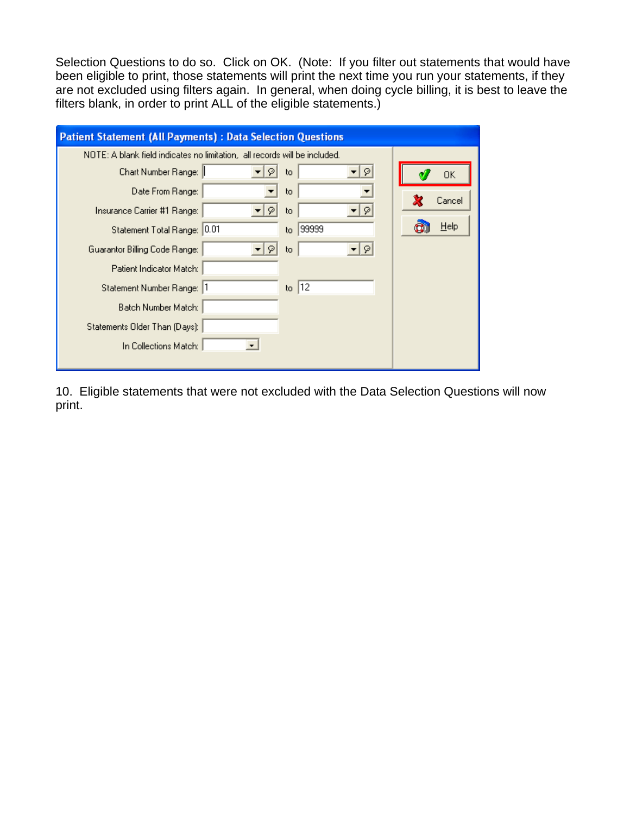Selection Questions to do so. Click on OK. (Note: If you filter out statements that would have been eligible to print, those statements will print the next time you run your statements, if they are not excluded using filters again. In general, when doing cycle billing, it is best to leave the filters blank, in order to print ALL of the eligible statements.)

| <b>Patient Statement (All Payments) : Data Selection Questions</b>         |        |  |  |  |  |  |  |  |
|----------------------------------------------------------------------------|--------|--|--|--|--|--|--|--|
| NOTE: A blank field indicates no limitation, all records will be included. |        |  |  |  |  |  |  |  |
| Chart Number Range:   <br>•∣ด∣<br>to.<br>9                                 | 0K     |  |  |  |  |  |  |  |
| Date From Range:<br>to.                                                    | Cancel |  |  |  |  |  |  |  |
| Insurance Carrier #1 Range: I<br>-  외<br>to.<br>91                         |        |  |  |  |  |  |  |  |
| 99999<br>Statement Total Range: 0.01<br>to.                                | Help   |  |  |  |  |  |  |  |
| $\lvert \mathfrak{D} \rvert$<br>Guarantor Billing Code Range:<br>to.<br>φ  |        |  |  |  |  |  |  |  |
| Patient Indicator Match:                                                   |        |  |  |  |  |  |  |  |
| to $ 12 $<br>Statement Number Range:  1                                    |        |  |  |  |  |  |  |  |
| Batch Number Match:                                                        |        |  |  |  |  |  |  |  |
| Statements Older Than (Days):                                              |        |  |  |  |  |  |  |  |
| In Collections Match:                                                      |        |  |  |  |  |  |  |  |
|                                                                            |        |  |  |  |  |  |  |  |

10. Eligible statements that were not excluded with the Data Selection Questions will now print.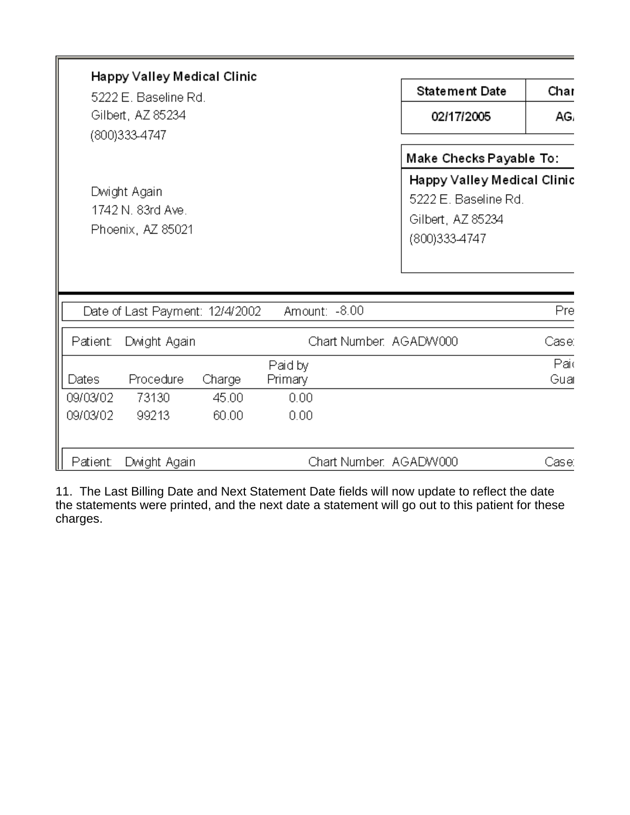| Happy Valley Medical Clinic<br>5222 E. Baseline Rd.<br>Gilbert, AZ 85234<br>(800)333-4747 |                                                        |                          |                                    |               | <b>Statement Date</b><br>02/17/2005                                                                                  | Char<br>AG. |
|-------------------------------------------------------------------------------------------|--------------------------------------------------------|--------------------------|------------------------------------|---------------|----------------------------------------------------------------------------------------------------------------------|-------------|
|                                                                                           | Dwight Again<br>1742 N. 83rd Ave.<br>Phoenix, AZ 85021 |                          |                                    |               | Make Checks Payable To:<br>Happy Valley Medical Clinic<br>5222 E. Baseline Rd.<br>Gilbert, AZ 85234<br>(800)333-4747 |             |
|                                                                                           | Date of Last Payment: 12/4/2002                        |                          |                                    | Amount: -8.00 |                                                                                                                      | Pre         |
| Patient:                                                                                  | Dwight Again                                           |                          |                                    |               | Chart Number, AGADW000                                                                                               | Case:       |
| Dates<br>09/03/02<br>09/03/02                                                             | Procedure<br>73130<br>99213                            | Charge<br>45.00<br>60.00 | Paid by<br>Primary<br>0.00<br>0.00 |               |                                                                                                                      | Paid<br>Gua |
| Patient:                                                                                  | Dwight Again                                           |                          |                                    |               | Chart Number. AGADW000                                                                                               | Case:       |

11. The Last Billing Date and Next Statement Date fields will now update to reflect the date the statements were printed, and the next date a statement will go out to this patient for these charges.